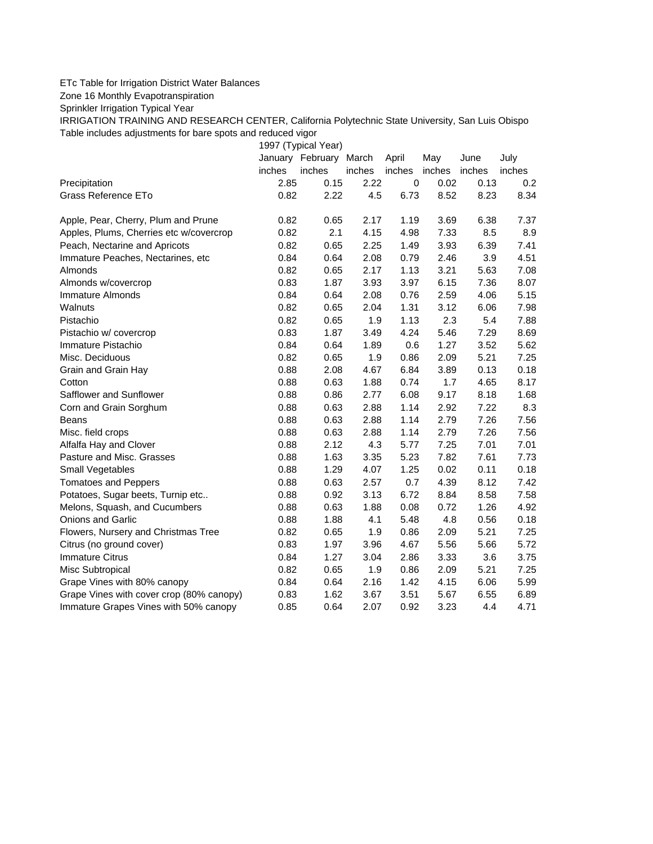## ETc Table for Irrigation District Water Balances

Zone 16 Monthly Evapotranspiration

Sprinkler Irrigation Typical Year

IRRIGATION TRAINING AND RESEARCH CENTER, California Polytechnic State University, San Luis Obispo Table includes adjustments for bare spots and reduced vigor

1997 (Typical Year) January February March April May June July inches inches inches inches inches inches inches Precipitation 2.85 0.15 2.22 0 0.02 0.13 0.2 Grass Reference ETo  $0.82$   $2.22$   $4.5$   $6.73$   $8.52$   $8.23$   $8.34$ Apple, Pear, Cherry, Plum and Prune  $0.82$  0.65 2.17 1.19 3.69 6.38 7.37 Apples, Plums, Cherries etc w/covercrop  $0.82$  2.1 4.15 4.98 7.33 8.5 8.9 Peach, Nectarine and Apricots 0.82 0.65 2.25 1.49 3.93 6.39 7.41 Immature Peaches, Nectarines, etc 0.84 0.64 2.08 0.79 2.46 3.9 4.51 Almonds 0.82 0.65 2.17 1.13 3.21 5.63 7.08 Almonds w/covercrop 0.83 1.87 3.93 3.97 6.15 7.36 8.07 Immature Almonds 0.84 0.64 2.08 0.76 2.59 4.06 5.15 Walnuts 0.82 0.65 2.04 1.31 3.12 6.06 7.98 Pistachio 0.82 0.65 1.9 1.13 2.3 5.4 7.88 Pistachio w/ covercrop 0.83 1.87 3.49 4.24 5.46 7.29 8.69 Immature Pistachio 0.84 0.64 1.89 0.6 1.27 3.52 5.62 Misc. Deciduous 0.82 0.65 1.9 0.86 2.09 5.21 7.25 Grain and Grain Hay  $0.88$   $2.08$   $4.67$   $6.84$   $3.89$   $0.13$   $0.18$ Cotton 0.88 0.63 1.88 0.74 1.7 4.65 8.17 Safflower and Sunflower 0.88 0.86 2.77 6.08 9.17 8.18 1.68 Corn and Grain Sorghum 0.88 0.63 2.88 1.14 2.92 7.22 8.3 Beans 0.88 0.63 2.88 1.14 2.79 7.26 7.56 Misc. field crops 0.88 0.63 2.88 1.14 2.79 7.26 7.56 Alfalfa Hay and Clover 0.88 2.12 4.3 5.77 7.25 7.01 7.01 Pasture and Misc. Grasses 0.88 1.63 3.35 5.23 7.82 7.61 7.73 Small Vegetables 0.88 1.29 4.07 1.25 0.02 0.11 0.18 Tomatoes and Peppers 0.88 0.63 2.57 0.7 4.39 8.12 7.42 Potatoes, Sugar beets, Turnip etc.. 0.88 0.92 3.13 6.72 8.84 8.58 7.58 Melons, Squash, and Cucumbers 0.88 0.63 1.88 0.08 0.72 1.26 4.92 Onions and Garlic 0.88 1.88 4.1 5.48 4.8 0.56 0.18 Flowers, Nursery and Christmas Tree 0.82 0.65 1.9 0.86 2.09 5.21 7.25 Citrus (no ground cover) 0.83 1.97 3.96 4.67 5.56 5.66 5.72 Immature Citrus 0.84 1.27 3.04 2.86 3.33 3.6 3.75 Misc Subtropical 0.82 0.65 1.9 0.86 2.09 5.21 7.25 Grape Vines with 80% canopy  $0.84$  0.64 2.16 1.42 4.15 6.06 5.99 Grape Vines with cover crop (80% canopy)  $0.83$  1.62  $3.67$  3.51 5.67 6.55 6.89 Immature Grapes Vines with 50% canopy 0.85 0.64 2.07 0.92 3.23 4.4 4.71